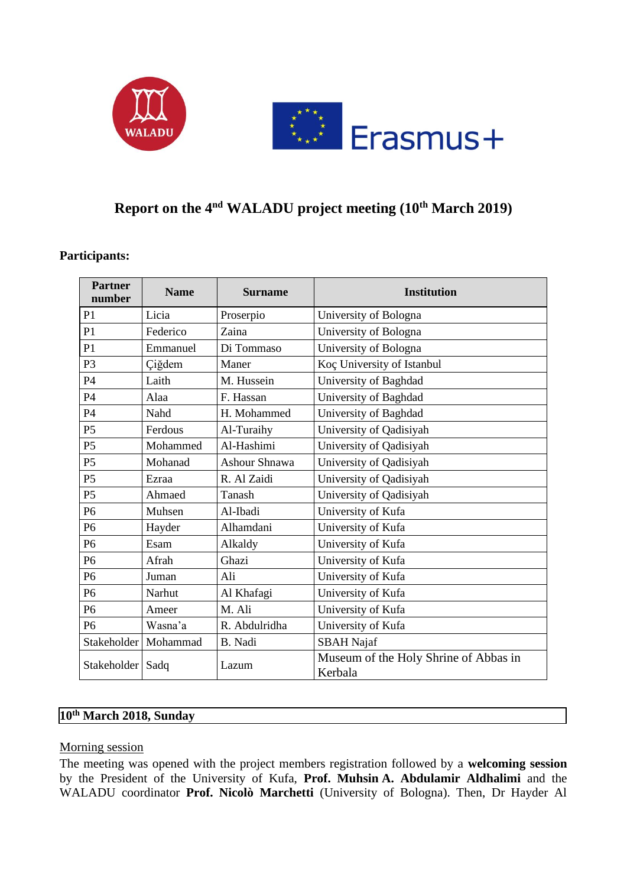



# **Report on the 4nd WALADU project meeting (10th March 2019)**

#### **Participants:**

| <b>Partner</b><br>number | <b>Name</b> | <b>Surname</b>       | <b>Institution</b>                               |
|--------------------------|-------------|----------------------|--------------------------------------------------|
| P <sub>1</sub>           | Licia       | Proserpio            | University of Bologna                            |
| P <sub>1</sub>           | Federico    | Zaina                | University of Bologna                            |
| P <sub>1</sub>           | Emmanuel    | Di Tommaso           | University of Bologna                            |
| P <sub>3</sub>           | Çiğdem      | Maner                | Koç University of Istanbul                       |
| P <sub>4</sub>           | Laith       | M. Hussein           | University of Baghdad                            |
| <b>P4</b>                | Alaa        | F. Hassan            | University of Baghdad                            |
| P <sub>4</sub>           | Nahd        | H. Mohammed          | University of Baghdad                            |
| P <sub>5</sub>           | Ferdous     | Al-Turaihy           | University of Qadisiyah                          |
| P <sub>5</sub>           | Mohammed    | Al-Hashimi           | University of Qadisiyah                          |
| P <sub>5</sub>           | Mohanad     | <b>Ashour Shnawa</b> | University of Qadisiyah                          |
| P <sub>5</sub>           | Ezraa       | R. Al Zaidi          | University of Qadisiyah                          |
| P <sub>5</sub>           | Ahmaed      | Tanash               | University of Qadisiyah                          |
| P <sub>6</sub>           | Muhsen      | Al-Ibadi             | University of Kufa                               |
| P <sub>6</sub>           | Hayder      | Alhamdani            | University of Kufa                               |
| P <sub>6</sub>           | Esam        | Alkaldy              | University of Kufa                               |
| P <sub>6</sub>           | Afrah       | Ghazi                | University of Kufa                               |
| P <sub>6</sub>           | Juman       | Ali                  | University of Kufa                               |
| P <sub>6</sub>           | Narhut      | Al Khafagi           | University of Kufa                               |
| P <sub>6</sub>           | Ameer       | M. Ali               | University of Kufa                               |
| P <sub>6</sub>           | Wasna'a     | R. Abdulridha        | University of Kufa                               |
| Stakeholder              | Mohammad    | B. Nadi              | <b>SBAH</b> Najaf                                |
| Stakeholder              | Sadq        | Lazum                | Museum of the Holy Shrine of Abbas in<br>Kerbala |

# **10th March 2018, Sunday**

#### Morning session

The meeting was opened with the project members registration followed by a **welcoming session** by the President of the University of Kufa, **Prof. Muhsin A. Abdulamir Aldhalimi** and the WALADU coordinator **Prof. Nicolò Marchetti** (University of Bologna). Then, Dr Hayder Al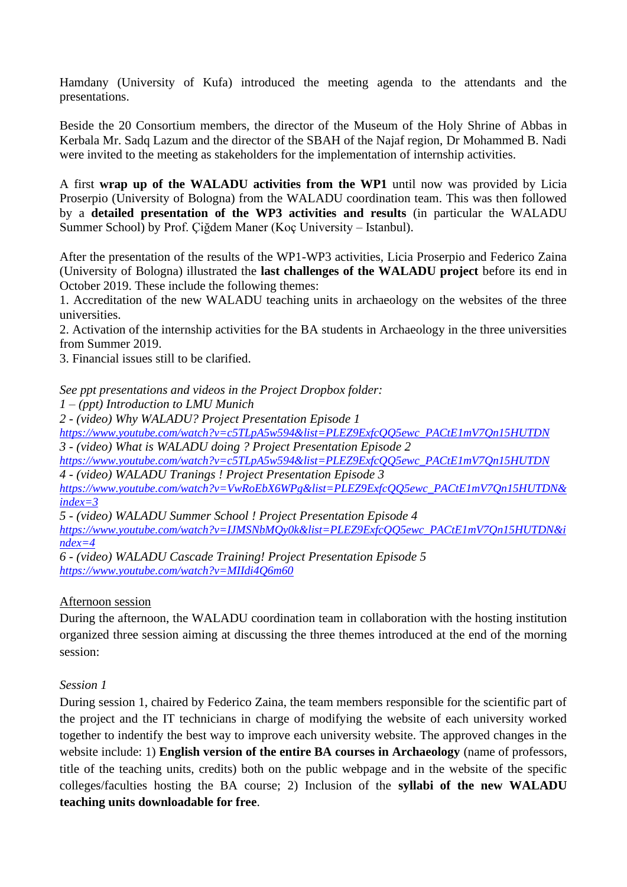Hamdany (University of Kufa) introduced the meeting agenda to the attendants and the presentations.

Beside the 20 Consortium members, the director of the Museum of the Holy Shrine of Abbas in Kerbala Mr. Sadq Lazum and the director of the SBAH of the Najaf region, Dr Mohammed B. Nadi were invited to the meeting as stakeholders for the implementation of internship activities.

A first **wrap up of the WALADU activities from the WP1** until now was provided by Licia Proserpio (University of Bologna) from the WALADU coordination team. This was then followed by a **detailed presentation of the WP3 activities and results** (in particular the WALADU Summer School) by Prof. Çiğdem Maner (Koç University – Istanbul).

After the presentation of the results of the WP1-WP3 activities, Licia Proserpio and Federico Zaina (University of Bologna) illustrated the **last challenges of the WALADU project** before its end in October 2019. These include the following themes:

1. Accreditation of the new WALADU teaching units in archaeology on the websites of the three universities.

2. Activation of the internship activities for the BA students in Archaeology in the three universities from Summer 2019.

3. Financial issues still to be clarified.

*See ppt presentations and videos in the Project Dropbox folder:*

*1 – (ppt) Introduction to LMU Munich*

*2 - (video) Why WALADU? Project Presentation Episode 1*

*[https://www.youtube.com/watch?v=c5TLpA5w594&list=PLEZ9ExfcQQ5ewc\\_PACtE1mV7Qn15HUTDN](https://www.youtube.com/watch?v=c5TLpA5w594&list=PLEZ9ExfcQQ5ewc_PACtE1mV7Qn15HUTDN) 3 - (video) What is WALADU doing ? Project Presentation Episode 2*

*[https://www.youtube.com/watch?v=c5TLpA5w594&list=PLEZ9ExfcQQ5ewc\\_PACtE1mV7Qn15HUTDN](https://www.youtube.com/watch?v=c5TLpA5w594&list=PLEZ9ExfcQQ5ewc_PACtE1mV7Qn15HUTDN) 4 - (video) WALADU Tranings ! Project Presentation Episode 3*

*[https://www.youtube.com/watch?v=VwRoEbX6WPg&list=PLEZ9ExfcQQ5ewc\\_PACtE1mV7Qn15HUTDN&](https://www.youtube.com/watch?v=VwRoEbX6WPg&list=PLEZ9ExfcQQ5ewc_PACtE1mV7Qn15HUTDN&index=3) [index=3](https://www.youtube.com/watch?v=VwRoEbX6WPg&list=PLEZ9ExfcQQ5ewc_PACtE1mV7Qn15HUTDN&index=3)*

*5 - (video) WALADU Summer School ! Project Presentation Episode 4*

*[https://www.youtube.com/watch?v=IJMSNbMQy0k&list=PLEZ9ExfcQQ5ewc\\_PACtE1mV7Qn15HUTDN&i](https://www.youtube.com/watch?v=IJMSNbMQy0k&list=PLEZ9ExfcQQ5ewc_PACtE1mV7Qn15HUTDN&index=4) [ndex=4](https://www.youtube.com/watch?v=IJMSNbMQy0k&list=PLEZ9ExfcQQ5ewc_PACtE1mV7Qn15HUTDN&index=4)*

*6 - (video) WALADU Cascade Training! Project Presentation Episode 5 <https://www.youtube.com/watch?v=MIIdi4Q6m60>*

## Afternoon session

During the afternoon, the WALADU coordination team in collaboration with the hosting institution organized three session aiming at discussing the three themes introduced at the end of the morning session:

## *Session 1*

During session 1, chaired by Federico Zaina, the team members responsible for the scientific part of the project and the IT technicians in charge of modifying the website of each university worked together to indentify the best way to improve each university website. The approved changes in the website include: 1) **English version of the entire BA courses in Archaeology** (name of professors, title of the teaching units, credits) both on the public webpage and in the website of the specific colleges/faculties hosting the BA course; 2) Inclusion of the **syllabi of the new WALADU teaching units downloadable for free**.